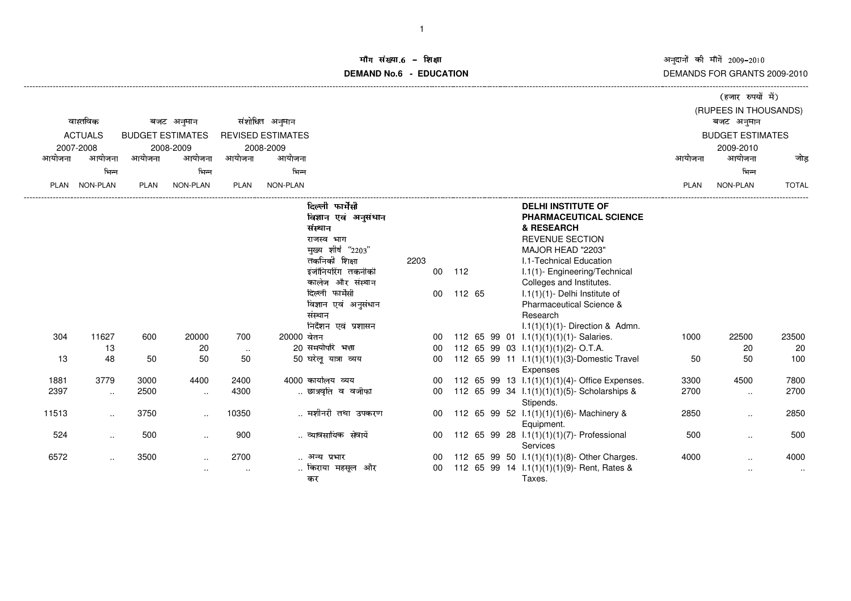अनुदानों की माँगें 2009–2010<br>DEMANDS FOR GRANTS 2009-2010

|                |           |                         |                        |                              |            |                                                                                        |      |              |        |  |                                                                                                                  | (हजार रुपयों में) |                         |                |  |  |  |
|----------------|-----------|-------------------------|------------------------|------------------------------|------------|----------------------------------------------------------------------------------------|------|--------------|--------|--|------------------------------------------------------------------------------------------------------------------|-------------------|-------------------------|----------------|--|--|--|
|                | वास्तविक  | बजट अनुमान              |                        | संशोधित अनुमान               |            |                                                                                        |      |              |        |  |                                                                                                                  |                   | (RUPEES IN THOUSANDS)   |                |  |  |  |
| <b>ACTUALS</b> |           | <b>BUDGET ESTIMATES</b> |                        | <b>REVISED ESTIMATES</b>     |            |                                                                                        |      |              |        |  |                                                                                                                  |                   | <b>BUDGET ESTIMATES</b> |                |  |  |  |
| 2007-2008      |           | 2008-2009<br>2008-2009  |                        |                              |            |                                                                                        |      |              |        |  |                                                                                                                  | 2009-2010         |                         |                |  |  |  |
| आयोजना         | आयोजना    | आयोजना                  | आयोजना                 | आयोजना                       | आयोजना     |                                                                                        |      |              |        |  |                                                                                                                  | आयोजना            | आयोजना                  | जोड            |  |  |  |
|                | भिन्न     |                         | भिन्न                  |                              | भिन्न      |                                                                                        |      |              |        |  |                                                                                                                  |                   | भिन्न                   |                |  |  |  |
| <b>PLAN</b>    | NON-PLAN  | <b>PLAN</b>             | <b>NON-PLAN</b>        | <b>PLAN</b>                  | NON-PLAN   |                                                                                        |      |              |        |  |                                                                                                                  | PLAN              | NON-PLAN                | <b>TOTAL</b>   |  |  |  |
|                |           |                         |                        |                              |            | दिल्ली फार्मेसी<br>विज्ञान एवं अनुसंधान<br>संस्थान<br>राजस्व भाग<br>मुख्य शीर्ष "2203" |      |              |        |  | <b>DELHI INSTITUTE OF</b><br>PHARMACEUTICAL SCIENCE<br>& RESEARCH<br><b>REVENUE SECTION</b><br>MAJOR HEAD "2203" |                   |                         |                |  |  |  |
|                |           |                         |                        |                              |            | तकनिकी शिक्षा<br>इंजीनियरिंग तकनीकी<br>कालेज और संस्थान                                | 2203 | $00\,$       | 112    |  | <b>I.1-Technical Education</b><br>I.1(1)- Engineering/Technical<br>Colleges and Institutes.                      |                   |                         |                |  |  |  |
|                |           |                         |                        |                              |            | दिल्ली फार्मेसी<br>विज्ञान एवं अनुसंधान<br>संस्थान<br>निर्देशन एवं प्रशासन             |      | 00           | 112 65 |  | $1.1(1)(1)$ - Delhi Institute of<br>Pharmaceutical Science &<br>Research<br>$1.1(1)(1)(1)$ - Direction & Admn.   |                   |                         |                |  |  |  |
| 304            | 11627     | 600                     | 20000                  | 700                          | 20000 बेतन |                                                                                        |      | 00           |        |  | 112 65 99 01 1.1(1)(1)(1)(1)- Salaries.                                                                          | 1000              | 22500                   | 23500          |  |  |  |
|                | 13        |                         | 20                     | $\sim$                       |            | 20 समयोपरि भत्ता                                                                       |      | 00           |        |  | 112 65 99 03 $1.1(1)(1)(1)(2)$ - O.T.A.                                                                          |                   | 20                      | 20             |  |  |  |
| 13             | 48        | 50                      | 50                     | 50                           |            | 50 घरेलू यात्रा व्यय                                                                   |      | 00           |        |  | 112 65 99 11 1.1(1)(1)(1)(3)-Domestic Travel<br>Expenses                                                         | 50                | 50                      | 100            |  |  |  |
| 1881           | 3779      | 3000                    | 4400                   | 2400                         |            | 4000 कार्यालय व्यय                                                                     |      | 00           |        |  | 112 65 99 13 1.1(1)(1)(1)(4)- Office Expenses.                                                                   | 3300              | 4500                    | 7800           |  |  |  |
| 2397           | $\ldots$  | 2500                    | $\sim$                 | 4300                         |            | छात्रवृति व वजीफा                                                                      |      | 00           |        |  | 112 65 99 34 1.1(1)(1)(1)(5)- Scholarships &<br>Stipends.                                                        | 2700              | $\cdot$ .               | 2700           |  |  |  |
| 11513          | $\ldots$  | 3750                    | $\ddotsc$              | 10350                        |            | मशीनरी तथा उपकरण                                                                       |      | 00           |        |  | 112 65 99 52 1.1(1)(1)(1)(6)- Machinery &<br>Equipment.                                                          | 2850              | $\cdot$ .               | 2850           |  |  |  |
| 524            | $\ddotsc$ | 500                     | $\ldots$               | 900                          |            | व्यावसायिक सेवायें                                                                     |      | 00           |        |  | 112 65 99 28 l.1(1)(1)(1)(7)- Professional<br>Services                                                           | 500               | $\ddotsc$               | 500            |  |  |  |
| 6572           | $\cdot$ . | 3500                    | $\ddotsc$<br>$\ddotsc$ | 2700<br>$\ddot{\phantom{a}}$ |            | अन्य प्रभार<br>किराया महसूल और<br>कर                                                   |      | 00<br>$00\,$ |        |  | 112 65 99 50 1.1(1)(1)(1)(8)- Other Charges.<br>112 65 99 14 1.1(1)(1)(1)(9)- Rent, Rates &<br>Taxes.            | 4000              | $\ddotsc$               | 4000<br>$\sim$ |  |  |  |

-------------------------------------------------------------------------------------------------------------------------------------------------------------------------------------------------------------------------------------------------------------------------------------